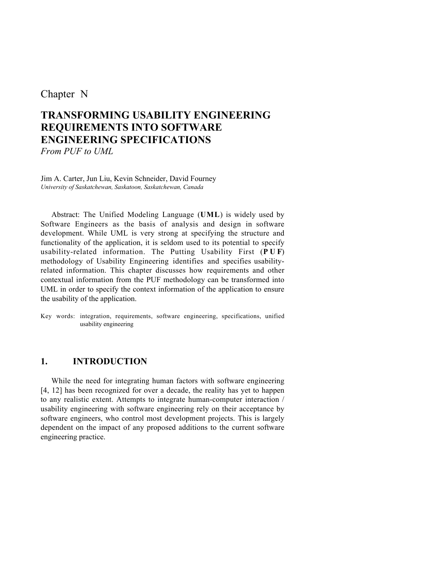# Chapter N

# TRANSFORMING USABILITY ENGINEERING REQUIREMENTS INTO SOFTWARE ENGINEERING SPECIFICATIONS

*From PUF to UML*

Jim A. Carter, Jun Liu, Kevin Schneider, David Fourney *University of Saskatchewan, Saskatoon, Saskatchewan, Canada*

Abstract: The Unified Modeling Language (UML) is widely used by Software Engineers as the basis of analysis and design in software development. While UML is very strong at specifying the structure and functionality of the application, it is seldom used to its potential to specify usability-related information. The Putting Usability First (PUF) methodology of Usability Engineering identifies and specifies usabilityrelated information. This chapter discusses how requirements and other contextual information from the PUF methodology can be transformed into UML in order to specify the context information of the application to ensure the usability of the application.

Key words: integration, requirements, software engineering, specifications, unified usability engineering

### 1. INTRODUCTION

While the need for integrating human factors with software engineering [4, 12] has been recognized for over a decade, the reality has yet to happen to any realistic extent. Attempts to integrate human-computer interaction / usability engineering with software engineering rely on their acceptance by software engineers, who control most development projects. This is largely dependent on the impact of any proposed additions to the current software engineering practice.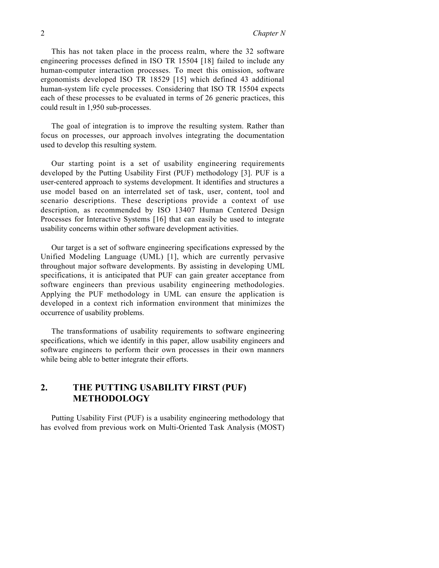This has not taken place in the process realm, where the 32 software engineering processes defined in ISO TR 15504 [18] failed to include any human-computer interaction processes. To meet this omission, software ergonomists developed ISO TR 18529 [15] which defined 43 additional human-system life cycle processes. Considering that ISO TR 15504 expects each of these processes to be evaluated in terms of 26 generic practices, this could result in 1,950 sub-processes.

The goal of integration is to improve the resulting system. Rather than focus on processes, our approach involves integrating the documentation used to develop this resulting system.

Our starting point is a set of usability engineering requirements developed by the Putting Usability First (PUF) methodology [3]. PUF is a user-centered approach to systems development. It identifies and structures a use model based on an interrelated set of task, user, content, tool and scenario descriptions. These descriptions provide a context of use description, as recommended by ISO 13407 Human Centered Design Processes for Interactive Systems [16] that can easily be used to integrate usability concerns within other software development activities.

Our target is a set of software engineering specifications expressed by the Unified Modeling Language (UML) [1], which are currently pervasive throughout major software developments. By assisting in developing UML specifications, it is anticipated that PUF can gain greater acceptance from software engineers than previous usability engineering methodologies. Applying the PUF methodology in UML can ensure the application is developed in a context rich information environment that minimizes the occurrence of usability problems.

The transformations of usability requirements to software engineering specifications, which we identify in this paper, allow usability engineers and software engineers to perform their own processes in their own manners while being able to better integrate their efforts.

## 2. THE PUTTING USABILITY FIRST (PUF) METHODOLOGY

Putting Usability First (PUF) is a usability engineering methodology that has evolved from previous work on Multi-Oriented Task Analysis (MOST)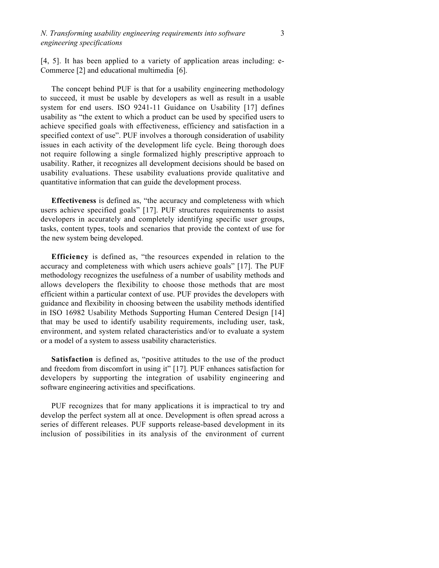3

[4, 5]. It has been applied to a variety of application areas including: e-Commerce [2] and educational multimedia [6].

The concept behind PUF is that for a usability engineering methodology to succeed, it must be usable by developers as well as result in a usable system for end users. ISO 9241-11 Guidance on Usability [17] defines usability as "the extent to which a product can be used by specified users to achieve specified goals with effectiveness, efficiency and satisfaction in a specified context of use". PUF involves a thorough consideration of usability issues in each activity of the development life cycle. Being thorough does not require following a single formalized highly prescriptive approach to usability. Rather, it recognizes all development decisions should be based on usability evaluations. These usability evaluations provide qualitative and quantitative information that can guide the development process.

Effectiveness is defined as, "the accuracy and completeness with which users achieve specified goals" [17]. PUF structures requirements to assist developers in accurately and completely identifying specific user groups, tasks, content types, tools and scenarios that provide the context of use for the new system being developed.

Efficiency is defined as, "the resources expended in relation to the accuracy and completeness with which users achieve goals" [17]. The PUF methodology recognizes the usefulness of a number of usability methods and allows developers the flexibility to choose those methods that are most efficient within a particular context of use. PUF provides the developers with guidance and flexibility in choosing between the usability methods identified in ISO 16982 Usability Methods Supporting Human Centered Design [14] that may be used to identify usability requirements, including user, task, environment, and system related characteristics and/or to evaluate a system or a model of a system to assess usability characteristics.

Satisfaction is defined as, "positive attitudes to the use of the product and freedom from discomfort in using it" [17]. PUF enhances satisfaction for developers by supporting the integration of usability engineering and software engineering activities and specifications.

PUF recognizes that for many applications it is impractical to try and develop the perfect system all at once. Development is often spread across a series of different releases. PUF supports release-based development in its inclusion of possibilities in its analysis of the environment of current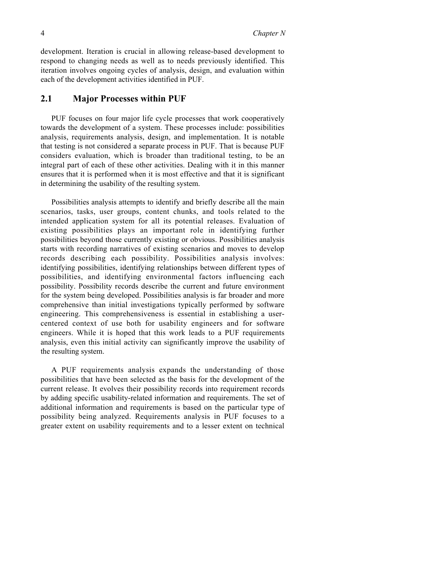development. Iteration is crucial in allowing release-based development to respond to changing needs as well as to needs previously identified. This iteration involves ongoing cycles of analysis, design, and evaluation within each of the development activities identified in PUF.

#### 2.1 Major Processes within PUF

PUF focuses on four major life cycle processes that work cooperatively towards the development of a system. These processes include: possibilities analysis, requirements analysis, design, and implementation. It is notable that testing is not considered a separate process in PUF. That is because PUF considers evaluation, which is broader than traditional testing, to be an integral part of each of these other activities. Dealing with it in this manner ensures that it is performed when it is most effective and that it is significant in determining the usability of the resulting system.

Possibilities analysis attempts to identify and briefly describe all the main scenarios, tasks, user groups, content chunks, and tools related to the intended application system for all its potential releases. Evaluation of existing possibilities plays an important role in identifying further possibilities beyond those currently existing or obvious. Possibilities analysis starts with recording narratives of existing scenarios and moves to develop records describing each possibility. Possibilities analysis involves: identifying possibilities, identifying relationships between different types of possibilities, and identifying environmental factors influencing each possibility. Possibility records describe the current and future environment for the system being developed. Possibilities analysis is far broader and more comprehensive than initial investigations typically performed by software engineering. This comprehensiveness is essential in establishing a usercentered context of use both for usability engineers and for software engineers. While it is hoped that this work leads to a PUF requirements analysis, even this initial activity can significantly improve the usability of the resulting system.

A PUF requirements analysis expands the understanding of those possibilities that have been selected as the basis for the development of the current release. It evolves their possibility records into requirement records by adding specific usability-related information and requirements. The set of additional information and requirements is based on the particular type of possibility being analyzed. Requirements analysis in PUF focuses to a greater extent on usability requirements and to a lesser extent on technical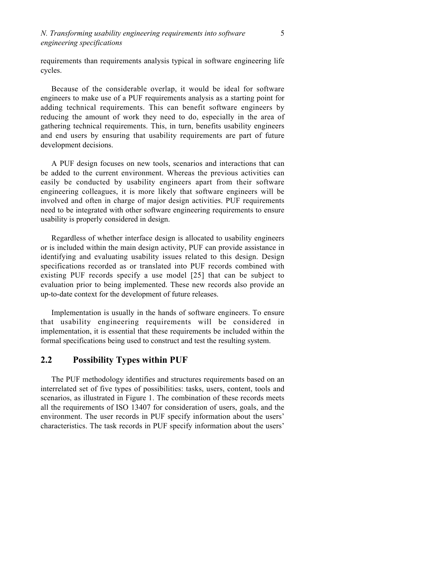requirements than requirements analysis typical in software engineering life cycles.

Because of the considerable overlap, it would be ideal for software engineers to make use of a PUF requirements analysis as a starting point for adding technical requirements. This can benefit software engineers by reducing the amount of work they need to do, especially in the area of gathering technical requirements. This, in turn, benefits usability engineers and end users by ensuring that usability requirements are part of future development decisions.

A PUF design focuses on new tools, scenarios and interactions that can be added to the current environment. Whereas the previous activities can easily be conducted by usability engineers apart from their software engineering colleagues, it is more likely that software engineers will be involved and often in charge of major design activities. PUF requirements need to be integrated with other software engineering requirements to ensure usability is properly considered in design.

Regardless of whether interface design is allocated to usability engineers or is included within the main design activity, PUF can provide assistance in identifying and evaluating usability issues related to this design. Design specifications recorded as or translated into PUF records combined with existing PUF records specify a use model [25] that can be subject to evaluation prior to being implemented. These new records also provide an up-to-date context for the development of future releases.

Implementation is usually in the hands of software engineers. To ensure that usability engineering requirements will be considered in implementation, it is essential that these requirements be included within the formal specifications being used to construct and test the resulting system.

### 2.2 Possibility Types within PUF

The PUF methodology identifies and structures requirements based on an interrelated set of five types of possibilities: tasks, users, content, tools and scenarios, as illustrated in Figure 1. The combination of these records meets all the requirements of ISO 13407 for consideration of users, goals, and the environment. The user records in PUF specify information about the users' characteristics. The task records in PUF specify information about the users'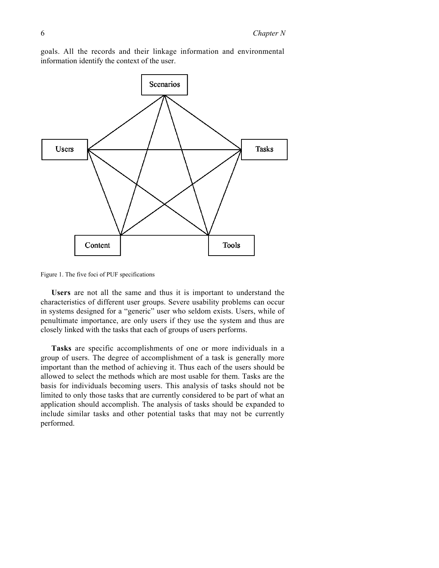goals. All the records and their linkage information and environmental information identify the context of the user.



Figure 1. The five foci of PUF specifications

Users are not all the same and thus it is important to understand the characteristics of different user groups. Severe usability problems can occur in systems designed for a "generic" user who seldom exists. Users, while of penultimate importance, are only users if they use the system and thus are closely linked with the tasks that each of groups of users performs.

Tasks are specific accomplishments of one or more individuals in a group of users. The degree of accomplishment of a task is generally more important than the method of achieving it. Thus each of the users should be allowed to select the methods which are most usable for them. Tasks are the basis for individuals becoming users. This analysis of tasks should not be limited to only those tasks that are currently considered to be part of what an application should accomplish. The analysis of tasks should be expanded to include similar tasks and other potential tasks that may not be currently performed.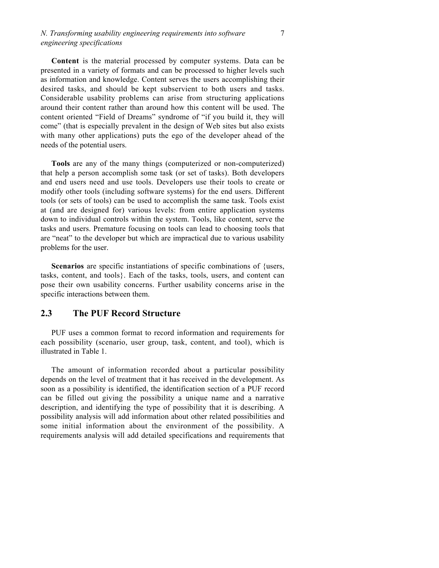#### *N. Transforming usability engineering requirements into software engineering specifications*

Content is the material processed by computer systems. Data can be presented in a variety of formats and can be processed to higher levels such as information and knowledge. Content serves the users accomplishing their desired tasks, and should be kept subservient to both users and tasks. Considerable usability problems can arise from structuring applications around their content rather than around how this content will be used. The content oriented "Field of Dreams" syndrome of "if you build it, they will come" (that is especially prevalent in the design of Web sites but also exists with many other applications) puts the ego of the developer ahead of the needs of the potential users.

Tools are any of the many things (computerized or non-computerized) that help a person accomplish some task (or set of tasks). Both developers and end users need and use tools. Developers use their tools to create or modify other tools (including software systems) for the end users. Different tools (or sets of tools) can be used to accomplish the same task. Tools exist at (and are designed for) various levels: from entire application systems down to individual controls within the system. Tools, like content, serve the tasks and users. Premature focusing on tools can lead to choosing tools that are "neat" to the developer but which are impractical due to various usability problems for the user.

Scenarios are specific instantiations of specific combinations of {users, tasks, content, and tools}. Each of the tasks, tools, users, and content can pose their own usability concerns. Further usability concerns arise in the specific interactions between them.

### 2.3 The PUF Record Structure

PUF uses a common format to record information and requirements for each possibility (scenario, user group, task, content, and tool), which is illustrated in Table 1.

The amount of information recorded about a particular possibility depends on the level of treatment that it has received in the development. As soon as a possibility is identified, the identification section of a PUF record can be filled out giving the possibility a unique name and a narrative description, and identifying the type of possibility that it is describing. A possibility analysis will add information about other related possibilities and some initial information about the environment of the possibility. A requirements analysis will add detailed specifications and requirements that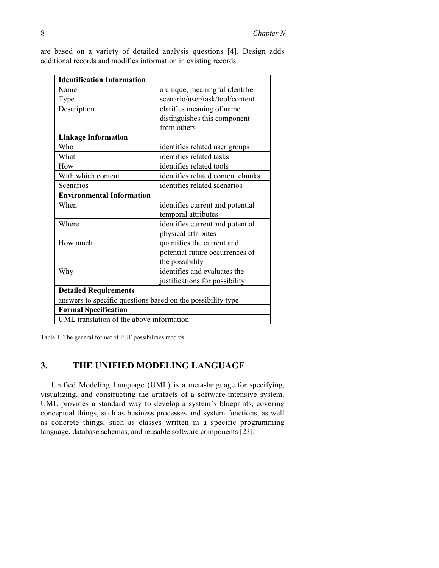| <b>Identification Information</b>                           |                                   |  |
|-------------------------------------------------------------|-----------------------------------|--|
| Name                                                        | a unique, meaningful identifier   |  |
| Type                                                        | scenario/user/task/tool/content   |  |
| Description                                                 | clarifies meaning of name         |  |
|                                                             | distinguishes this component      |  |
|                                                             | from others                       |  |
| <b>Linkage Information</b>                                  |                                   |  |
| Who                                                         | identifies related user groups    |  |
| What                                                        | identifies related tasks          |  |
| How                                                         | identifies related tools          |  |
| With which content                                          | identifies related content chunks |  |
| Scenarios                                                   | identifies related scenarios      |  |
| <b>Environmental Information</b>                            |                                   |  |
| When                                                        | identifies current and potential  |  |
|                                                             | temporal attributes               |  |
| Where                                                       | identifies current and potential  |  |
|                                                             | physical attributes               |  |
| How much                                                    | quantifies the current and        |  |
|                                                             | potential future occurrences of   |  |
|                                                             | the possibility                   |  |
| Why                                                         | identifies and evaluates the      |  |
|                                                             | justifications for possibility    |  |
| <b>Detailed Requirements</b>                                |                                   |  |
| answers to specific questions based on the possibility type |                                   |  |
| <b>Formal Specification</b>                                 |                                   |  |
| UML translation of the above information                    |                                   |  |

are based on a variety of detailed analysis questions [4]. Design adds additional records and modifies information in existing records.

Table 1. The general format of PUF possibilities records

## 3. THE UNIFIED MODELING LANGUAGE

Unified Modeling Language (UML) is a meta-language for specifying, visualizing, and constructing the artifacts of a software-intensive system. UML provides a standard way to develop a system's blueprints, covering conceptual things, such as business processes and system functions, as well as concrete things, such as classes written in a specific programming language, database schemas, and reusable software components [23].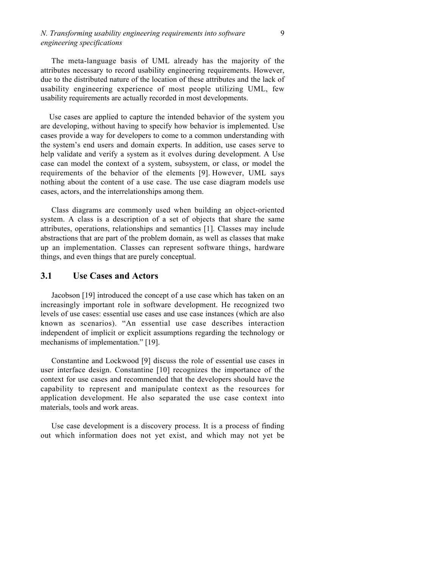#### *N. Transforming usability engineering requirements into software engineering specifications*

The meta-language basis of UML already has the majority of the attributes necessary to record usability engineering requirements. However, due to the distributed nature of the location of these attributes and the lack of usability engineering experience of most people utilizing UML, few usability requirements are actually recorded in most developments.

Use cases are applied to capture the intended behavior of the system you are developing, without having to specify how behavior is implemented. Use cases provide a way for developers to come to a common understanding with the system's end users and domain experts. In addition, use cases serve to help validate and verify a system as it evolves during development. A Use case can model the context of a system, subsystem, or class, or model the requirements of the behavior of the elements [9]. However, UML says nothing about the content of a use case. The use case diagram models use cases, actors, and the interrelationships among them.

Class diagrams are commonly used when building an object-oriented system. A class is a description of a set of objects that share the same attributes, operations, relationships and semantics [1]. Classes may include abstractions that are part of the problem domain, as well as classes that make up an implementation. Classes can represent software things, hardware things, and even things that are purely conceptual.

### 3.1 Use Cases and Actors

Jacobson [19] introduced the concept of a use case which has taken on an increasingly important role in software development. He recognized two levels of use cases: essential use cases and use case instances (which are also known as scenarios). "An essential use case describes interaction independent of implicit or explicit assumptions regarding the technology or mechanisms of implementation." [19].

Constantine and Lockwood [9] discuss the role of essential use cases in user interface design. Constantine [10] recognizes the importance of the context for use cases and recommended that the developers should have the capability to represent and manipulate context as the resources for application development. He also separated the use case context into materials, tools and work areas.

Use case development is a discovery process. It is a process of finding out which information does not yet exist, and which may not yet be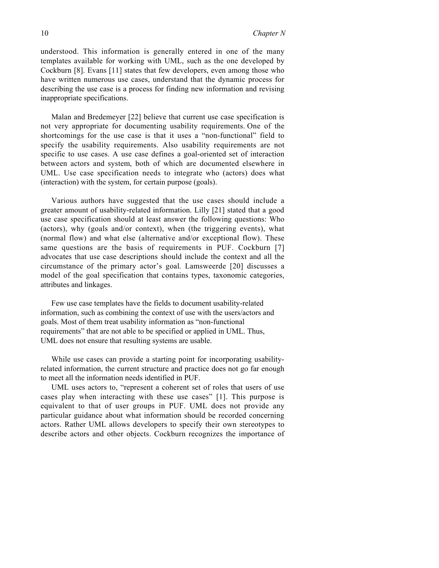understood. This information is generally entered in one of the many templates available for working with UML, such as the one developed by Cockburn [8]. Evans [11] states that few developers, even among those who have written numerous use cases, understand that the dynamic process for describing the use case is a process for finding new information and revising inappropriate specifications.

Malan and Bredemeyer [22] believe that current use case specification is not very appropriate for documenting usability requirements. One of the shortcomings for the use case is that it uses a "non-functional" field to specify the usability requirements. Also usability requirements are not specific to use cases. A use case defines a goal-oriented set of interaction between actors and system, both of which are documented elsewhere in UML. Use case specification needs to integrate who (actors) does what (interaction) with the system, for certain purpose (goals).

Various authors have suggested that the use cases should include a greater amount of usability-related information. Lilly [21] stated that a good use case specification should at least answer the following questions: Who (actors), why (goals and/or context), when (the triggering events), what (normal flow) and what else (alternative and/or exceptional flow). These same questions are the basis of requirements in PUF. Cockburn [7] advocates that use case descriptions should include the context and all the circumstance of the primary actor's goal. Lamsweerde [20] discusses a model of the goal specification that contains types, taxonomic categories, attributes and linkages.

Few use case templates have the fields to document usability-related information, such as combining the context of use with the users/actors and goals. Most of them treat usability information as "non-functional requirements" that are not able to be specified or applied in UML. Thus, UML does not ensure that resulting systems are usable.

While use cases can provide a starting point for incorporating usabilityrelated information, the current structure and practice does not go far enough to meet all the information needs identified in PUF.

UML uses actors to, "represent a coherent set of roles that users of use cases play when interacting with these use cases" [1]. This purpose is equivalent to that of user groups in PUF. UML does not provide any particular guidance about what information should be recorded concerning actors. Rather UML allows developers to specify their own stereotypes to describe actors and other objects. Cockburn recognizes the importance of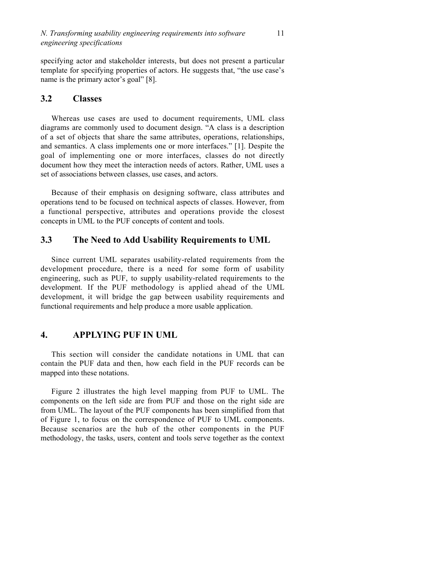specifying actor and stakeholder interests, but does not present a particular template for specifying properties of actors. He suggests that, "the use case's name is the primary actor's goal" [8].

### 3.2 Classes

Whereas use cases are used to document requirements, UML class diagrams are commonly used to document design. "A class is a description of a set of objects that share the same attributes, operations, relationships, and semantics. A class implements one or more interfaces." [1]. Despite the goal of implementing one or more interfaces, classes do not directly document how they meet the interaction needs of actors. Rather, UML uses a set of associations between classes, use cases, and actors.

Because of their emphasis on designing software, class attributes and operations tend to be focused on technical aspects of classes. However, from a functional perspective, attributes and operations provide the closest concepts in UML to the PUF concepts of content and tools.

#### 3.3 The Need to Add Usability Requirements to UML

Since current UML separates usability-related requirements from the development procedure, there is a need for some form of usability engineering, such as PUF, to supply usability-related requirements to the development. If the PUF methodology is applied ahead of the UML development, it will bridge the gap between usability requirements and functional requirements and help produce a more usable application.

### 4. APPLYING PUF IN UML

This section will consider the candidate notations in UML that can contain the PUF data and then, how each field in the PUF records can be mapped into these notations.

Figure 2 illustrates the high level mapping from PUF to UML. The components on the left side are from PUF and those on the right side are from UML. The layout of the PUF components has been simplified from that of Figure 1, to focus on the correspondence of PUF to UML components. Because scenarios are the hub of the other components in the PUF methodology, the tasks, users, content and tools serve together as the context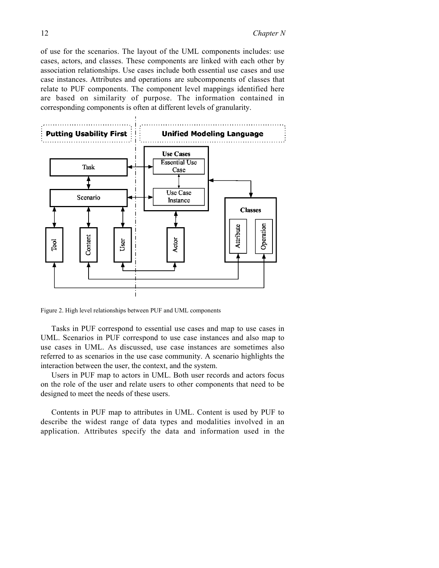of use for the scenarios. The layout of the UML components includes: use cases, actors, and classes. These components are linked with each other by association relationships. Use cases include both essential use cases and use case instances. Attributes and operations are subcomponents of classes that relate to PUF components. The component level mappings identified here are based on similarity of purpose. The information contained in corresponding components is often at different levels of granularity.



Figure 2. High level relationships between PUF and UML components

Tasks in PUF correspond to essential use cases and map to use cases in UML. Scenarios in PUF correspond to use case instances and also map to use cases in UML. As discussed, use case instances are sometimes also referred to as scenarios in the use case community. A scenario highlights the interaction between the user, the context, and the system.

Users in PUF map to actors in UML. Both user records and actors focus on the role of the user and relate users to other components that need to be designed to meet the needs of these users.

Contents in PUF map to attributes in UML. Content is used by PUF to describe the widest range of data types and modalities involved in an application. Attributes specify the data and information used in the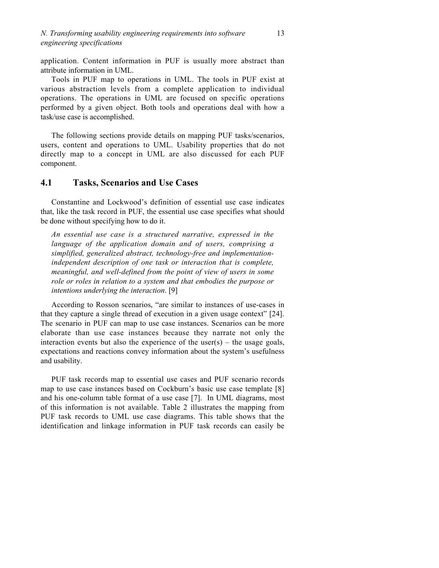application. Content information in PUF is usually more abstract than attribute information in UML.

Tools in PUF map to operations in UML. The tools in PUF exist at various abstraction levels from a complete application to individual operations. The operations in UML are focused on specific operations performed by a given object. Both tools and operations deal with how a task/use case is accomplished.

The following sections provide details on mapping PUF tasks/scenarios, users, content and operations to UML. Usability properties that do not directly map to a concept in UML are also discussed for each PUF component.

### 4.1 Tasks, Scenarios and Use Cases

Constantine and Lockwood's definition of essential use case indicates that, like the task record in PUF, the essential use case specifies what should be done without specifying how to do it.

*An essential use case is a structured narrative, expressed in the language of the application domain and of users, comprising a simplified, generalized abstract, technology-free and implementationindependent description of one task or interaction that is complete, meaningful, and well-defined from the point of view of users in some role or roles in relation to a system and that embodies the purpose or intentions underlying the interaction*. [9]

According to Rosson scenarios, "are similar to instances of use-cases in that they capture a single thread of execution in a given usage context" [24]. The scenario in PUF can map to use case instances. Scenarios can be more elaborate than use case instances because they narrate not only the interaction events but also the experience of the user(s) – the usage goals, expectations and reactions convey information about the system's usefulness and usability.

PUF task records map to essential use cases and PUF scenario records map to use case instances based on Cockburn's basic use case template [8] and his one-column table format of a use case [7]. In UML diagrams, most of this information is not available. Table 2 illustrates the mapping from PUF task records to UML use case diagrams. This table shows that the identification and linkage information in PUF task records can easily be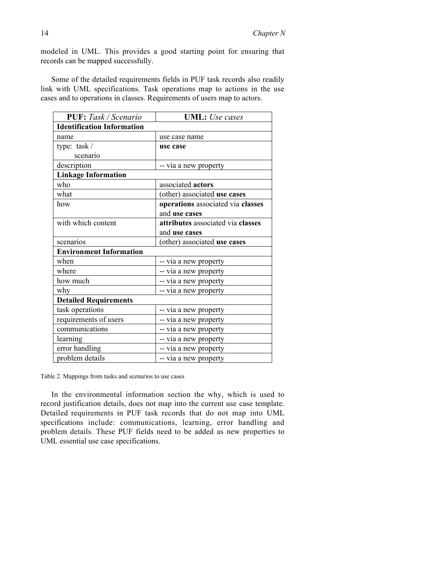modeled in UML. This provides a good starting point for ensuring that records can be mapped successfully.

Some of the detailed requirements fields in PUF task records also readily link with UML specifications. Task operations map to actions in the use cases and to operations in classes. Requirements of users map to actors.

| PUF: Task / Scenario              | <b>UML</b> : Use cases            |  |
|-----------------------------------|-----------------------------------|--|
| <b>Identification Information</b> |                                   |  |
| name                              | use case name                     |  |
| type: task /                      | use case                          |  |
| scenario                          |                                   |  |
| description                       | -- via a new property             |  |
| <b>Linkage Information</b>        |                                   |  |
| who                               | associated actors                 |  |
| what                              | (other) associated use cases      |  |
| how                               | operations associated via classes |  |
|                                   | and use cases                     |  |
| with which content                | attributes associated via classes |  |
|                                   | and use cases                     |  |
| scenarios                         | (other) associated use cases      |  |
| <b>Environment Information</b>    |                                   |  |
| when                              | -- via a new property             |  |
| where                             | -- via a new property             |  |
| how much                          | -- via a new property             |  |
| why                               | -- via a new property             |  |
| <b>Detailed Requirements</b>      |                                   |  |
| task operations                   | -- via a new property             |  |
| requirements of users             | -- via a new property             |  |
| communications                    | -- via a new property             |  |
| learning                          | -- via a new property             |  |
| error handling                    | -- via a new property             |  |
| problem details                   | -- via a new property             |  |

Table 2. Mappings from tasks and scenarios to use cases

In the environmental information section the why, which is used to record justification details, does not map into the current use case template. Detailed requirements in PUF task records that do not map into UML specifications include: communications, learning, error handling and problem details. These PUF fields need to be added as new properties to UML essential use case specifications.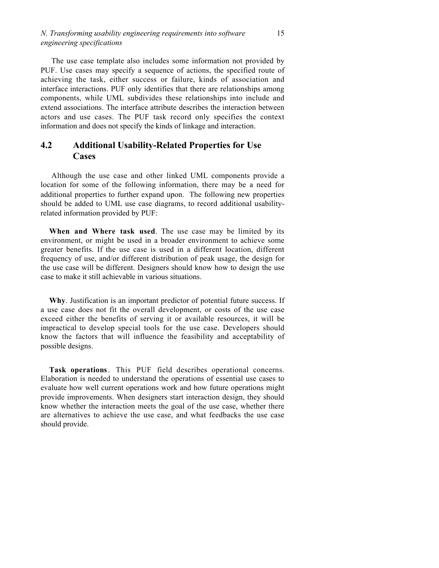The use case template also includes some information not provided by PUF. Use cases may specify a sequence of actions, the specified route of achieving the task, either success or failure, kinds of association and interface interactions. PUF only identifies that there are relationships among components, while UML subdivides these relationships into include and extend associations. The interface attribute describes the interaction between actors and use cases. The PUF task record only specifies the context information and does not specify the kinds of linkage and interaction.

### 4.2 Additional Usability-Related Properties for Use Cases

Although the use case and other linked UML components provide a location for some of the following information, there may be a need for additional properties to further expand upon. The following new properties should be added to UML use case diagrams, to record additional usabilityrelated information provided by PUF:

When and Where task used. The use case may be limited by its environment, or might be used in a broader environment to achieve some greater benefits. If the use case is used in a different location, different frequency of use, and/or different distribution of peak usage, the design for the use case will be different. Designers should know how to design the use case to make it still achievable in various situations.

Why. Justification is an important predictor of potential future success. If a use case does not fit the overall development, or costs of the use case exceed either the benefits of serving it or available resources, it will be impractical to develop special tools for the use case. Developers should know the factors that will influence the feasibility and acceptability of possible designs.

Task operations. This PUF field describes operational concerns. Elaboration is needed to understand the operations of essential use cases to evaluate how well current operations work and how future operations might provide improvements. When designers start interaction design, they should know whether the interaction meets the goal of the use case, whether there are alternatives to achieve the use case, and what feedbacks the use case should provide.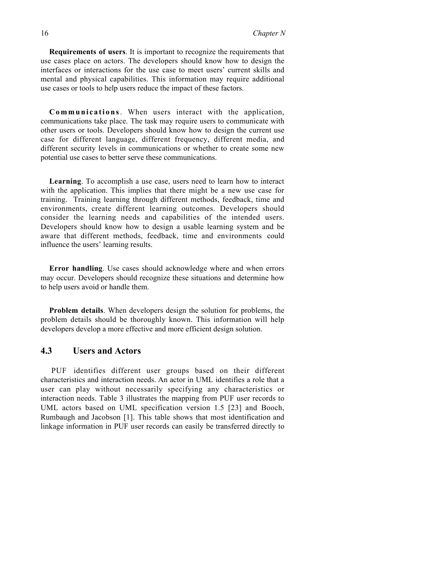Requirements of users. It is important to recognize the requirements that use cases place on actors. The developers should know how to design the interfaces or interactions for the use case to meet users' current skills and mental and physical capabilities. This information may require additional use cases or tools to help users reduce the impact of these factors.

Communications. When users interact with the application, communications take place. The task may require users to communicate with other users or tools. Developers should know how to design the current use case for different language, different frequency, different media, and different security levels in communications or whether to create some new potential use cases to better serve these communications.

Learning. To accomplish a use case, users need to learn how to interact with the application. This implies that there might be a new use case for training. Training learning through different methods, feedback, time and environments, create different learning outcomes. Developers should consider the learning needs and capabilities of the intended users. Developers should know how to design a usable learning system and be aware that different methods, feedback, time and environments could influence the users' learning results.

Error handling. Use cases should acknowledge where and when errors may occur. Developers should recognize these situations and determine how to help users avoid or handle them.

Problem details. When developers design the solution for problems, the problem details should be thoroughly known. This information will help developers develop a more effective and more efficient design solution.

### 4.3 Users and Actors

PUF identifies different user groups based on their different characteristics and interaction needs. An actor in UML identifies a role that a user can play without necessarily specifying any characteristics or interaction needs. Table 3 illustrates the mapping from PUF user records to UML actors based on UML specification version 1.5 [23] and Booch, Rumbaugh and Jacobson [1]. This table shows that most identification and linkage information in PUF user records can easily be transferred directly to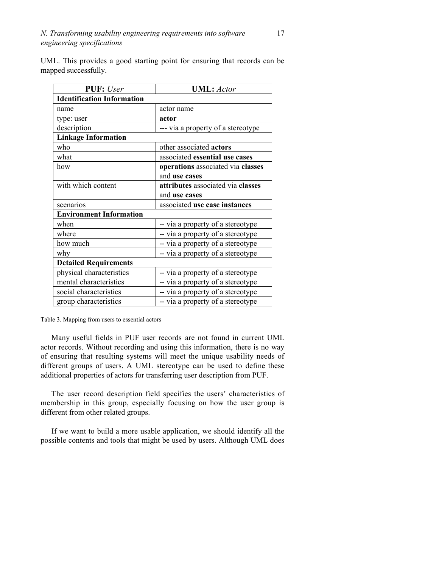#### *N. Transforming usability engineering requirements into software engineering specifications*

UML. This provides a good starting point for ensuring that records can be mapped successfully.

| <b>PUF</b> : User                 | <b>UML</b> : Actor                 |  |  |
|-----------------------------------|------------------------------------|--|--|
| <b>Identification Information</b> |                                    |  |  |
| name                              | actor name                         |  |  |
| type: user                        | actor                              |  |  |
| description                       | --- via a property of a stereotype |  |  |
| <b>Linkage Information</b>        |                                    |  |  |
| who                               | other associated actors            |  |  |
| what                              | associated essential use cases     |  |  |
| how                               | operations associated via classes  |  |  |
|                                   | and use cases                      |  |  |
| with which content                | attributes associated via classes  |  |  |
|                                   | and use cases                      |  |  |
| scenarios                         | associated use case instances      |  |  |
| <b>Environment Information</b>    |                                    |  |  |
| when                              | -- via a property of a stereotype  |  |  |
| where                             | -- via a property of a stereotype  |  |  |
| how much                          | -- via a property of a stereotype  |  |  |
| why                               | -- via a property of a stereotype  |  |  |
| <b>Detailed Requirements</b>      |                                    |  |  |
| physical characteristics          | -- via a property of a stereotype  |  |  |
| mental characteristics            | -- via a property of a stereotype  |  |  |
| social characteristics            | -- via a property of a stereotype  |  |  |
| group characteristics             | -- via a property of a stereotype  |  |  |

Table 3. Mapping from users to essential actors

Many useful fields in PUF user records are not found in current UML actor records. Without recording and using this information, there is no way of ensuring that resulting systems will meet the unique usability needs of different groups of users. A UML stereotype can be used to define these additional properties of actors for transferring user description from PUF.

The user record description field specifies the users' characteristics of membership in this group, especially focusing on how the user group is different from other related groups.

If we want to build a more usable application, we should identify all the possible contents and tools that might be used by users. Although UML does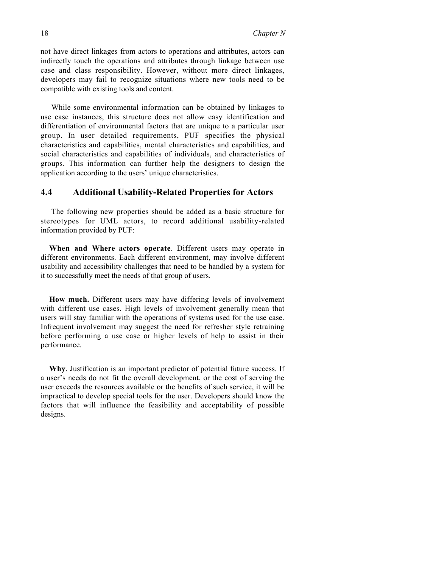not have direct linkages from actors to operations and attributes, actors can indirectly touch the operations and attributes through linkage between use case and class responsibility. However, without more direct linkages, developers may fail to recognize situations where new tools need to be compatible with existing tools and content.

While some environmental information can be obtained by linkages to use case instances, this structure does not allow easy identification and differentiation of environmental factors that are unique to a particular user group. In user detailed requirements, PUF specifies the physical characteristics and capabilities, mental characteristics and capabilities, and social characteristics and capabilities of individuals, and characteristics of groups. This information can further help the designers to design the application according to the users' unique characteristics.

#### 4.4 Additional Usability-Related Properties for Actors

The following new properties should be added as a basic structure for stereotypes for UML actors, to record additional usability-related information provided by PUF:

When and Where actors operate. Different users may operate in different environments. Each different environment, may involve different usability and accessibility challenges that need to be handled by a system for it to successfully meet the needs of that group of users.

How much. Different users may have differing levels of involvement with different use cases. High levels of involvement generally mean that users will stay familiar with the operations of systems used for the use case. Infrequent involvement may suggest the need for refresher style retraining before performing a use case or higher levels of help to assist in their performance.

Why. Justification is an important predictor of potential future success. If a user's needs do not fit the overall development, or the cost of serving the user exceeds the resources available or the benefits of such service, it will be impractical to develop special tools for the user. Developers should know the factors that will influence the feasibility and acceptability of possible designs.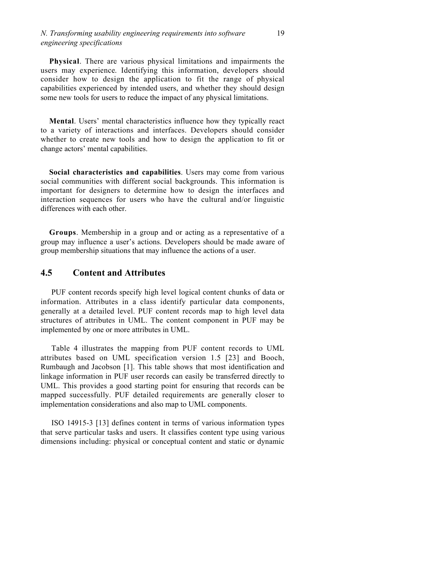Physical. There are various physical limitations and impairments the users may experience. Identifying this information, developers should consider how to design the application to fit the range of physical capabilities experienced by intended users, and whether they should design some new tools for users to reduce the impact of any physical limitations.

Mental. Users' mental characteristics influence how they typically react to a variety of interactions and interfaces. Developers should consider whether to create new tools and how to design the application to fit or change actors' mental capabilities.

Social characteristics and capabilities. Users may come from various social communities with different social backgrounds. This information is important for designers to determine how to design the interfaces and interaction sequences for users who have the cultural and/or linguistic differences with each other.

Groups. Membership in a group and or acting as a representative of a group may influence a user's actions. Developers should be made aware of group membership situations that may influence the actions of a user.

### 4.5 Content and Attributes

PUF content records specify high level logical content chunks of data or information. Attributes in a class identify particular data components, generally at a detailed level. PUF content records map to high level data structures of attributes in UML. The content component in PUF may be implemented by one or more attributes in UML.

Table 4 illustrates the mapping from PUF content records to UML attributes based on UML specification version 1.5 [23] and Booch, Rumbaugh and Jacobson [1]. This table shows that most identification and linkage information in PUF user records can easily be transferred directly to UML. This provides a good starting point for ensuring that records can be mapped successfully. PUF detailed requirements are generally closer to implementation considerations and also map to UML components.

ISO 14915-3 [13] defines content in terms of various information types that serve particular tasks and users. It classifies content type using various dimensions including: physical or conceptual content and static or dynamic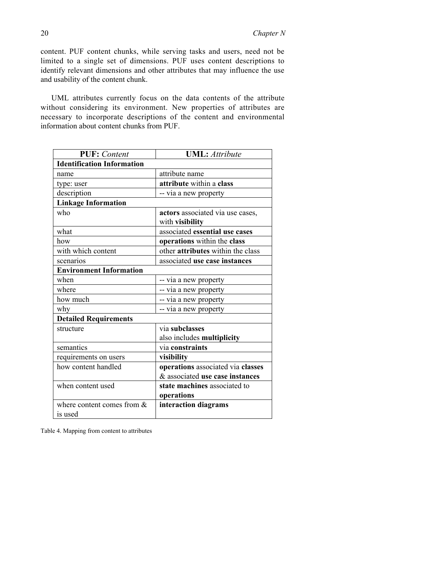content. PUF content chunks, while serving tasks and users, need not be limited to a single set of dimensions. PUF uses content descriptions to identify relevant dimensions and other attributes that may influence the use and usability of the content chunk.

UML attributes currently focus on the data contents of the attribute without considering its environment. New properties of attributes are necessary to incorporate descriptions of the content and environmental information about content chunks from PUF.

| <b>PUF:</b> Content               | <b>UML</b> : Attribute            |  |  |
|-----------------------------------|-----------------------------------|--|--|
| <b>Identification Information</b> |                                   |  |  |
| name                              | attribute name                    |  |  |
| type: user                        | attribute within a class          |  |  |
| description                       | -- via a new property             |  |  |
| <b>Linkage Information</b>        |                                   |  |  |
| who                               | actors associated via use cases,  |  |  |
|                                   | with visibility                   |  |  |
| what                              | associated essential use cases    |  |  |
| how                               | operations within the class       |  |  |
| with which content                | other attributes within the class |  |  |
| scenarios                         | associated use case instances     |  |  |
| <b>Environment Information</b>    |                                   |  |  |
| when                              | -- via a new property             |  |  |
| where                             | -- via a new property             |  |  |
| how much                          | -- via a new property             |  |  |
| why                               | -- via a new property             |  |  |
| <b>Detailed Requirements</b>      |                                   |  |  |
| structure                         | via subclasses                    |  |  |
|                                   | also includes multiplicity        |  |  |
| semantics                         | via constraints                   |  |  |
| requirements on users             | visibility                        |  |  |
| how content handled               | operations associated via classes |  |  |
|                                   | & associated use case instances   |  |  |
| when content used                 | state machines associated to      |  |  |
|                                   | operations                        |  |  |
| where content comes from $&$      | interaction diagrams              |  |  |
| is used                           |                                   |  |  |

Table 4. Mapping from content to attributes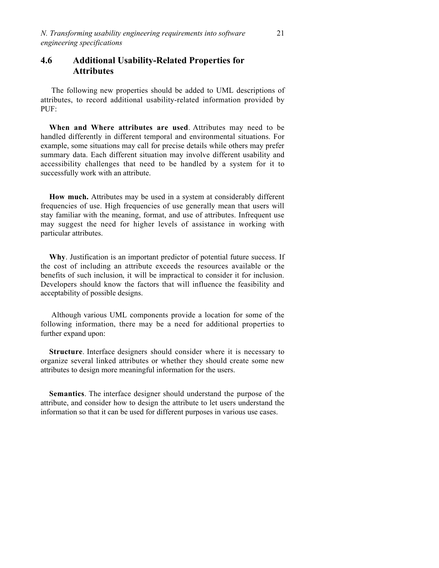### 4.6 Additional Usability-Related Properties for Attributes

The following new properties should be added to UML descriptions of attributes, to record additional usability-related information provided by PUF:

When and Where attributes are used. Attributes may need to be handled differently in different temporal and environmental situations. For example, some situations may call for precise details while others may prefer summary data. Each different situation may involve different usability and accessibility challenges that need to be handled by a system for it to successfully work with an attribute.

How much. Attributes may be used in a system at considerably different frequencies of use. High frequencies of use generally mean that users will stay familiar with the meaning, format, and use of attributes. Infrequent use may suggest the need for higher levels of assistance in working with particular attributes.

Why. Justification is an important predictor of potential future success. If the cost of including an attribute exceeds the resources available or the benefits of such inclusion, it will be impractical to consider it for inclusion. Developers should know the factors that will influence the feasibility and acceptability of possible designs.

Although various UML components provide a location for some of the following information, there may be a need for additional properties to further expand upon:

Structure. Interface designers should consider where it is necessary to organize several linked attributes or whether they should create some new attributes to design more meaningful information for the users.

Semantics. The interface designer should understand the purpose of the attribute, and consider how to design the attribute to let users understand the information so that it can be used for different purposes in various use cases.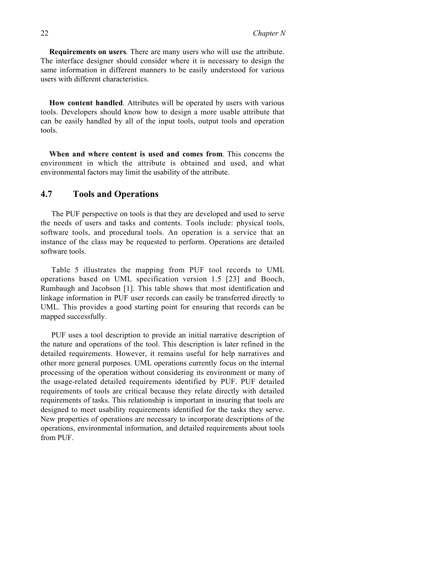Requirements on users. There are many users who will use the attribute. The interface designer should consider where it is necessary to design the same information in different manners to be easily understood for various users with different characteristics.

How content handled. Attributes will be operated by users with various tools. Developers should know how to design a more usable attribute that can be easily handled by all of the input tools, output tools and operation tools.

When and where content is used and comes from. This concerns the environment in which the attribute is obtained and used, and what environmental factors may limit the usability of the attribute.

### 4.7 Tools and Operations

The PUF perspective on tools is that they are developed and used to serve the needs of users and tasks and contents. Tools include: physical tools, software tools, and procedural tools. An operation is a service that an instance of the class may be requested to perform. Operations are detailed software tools.

Table 5 illustrates the mapping from PUF tool records to UML operations based on UML specification version 1.5 [23] and Booch, Rumbaugh and Jacobson [1]. This table shows that most identification and linkage information in PUF user records can easily be transferred directly to UML. This provides a good starting point for ensuring that records can be mapped successfully.

PUF uses a tool description to provide an initial narrative description of the nature and operations of the tool. This description is later refined in the detailed requirements. However, it remains useful for help narratives and other more general purposes. UML operations currently focus on the internal processing of the operation without considering its environment or many of the usage-related detailed requirements identified by PUF. PUF detailed requirements of tools are critical because they relate directly with detailed requirements of tasks. This relationship is important in insuring that tools are designed to meet usability requirements identified for the tasks they serve. New properties of operations are necessary to incorporate descriptions of the operations, environmental information, and detailed requirements about tools from PUF.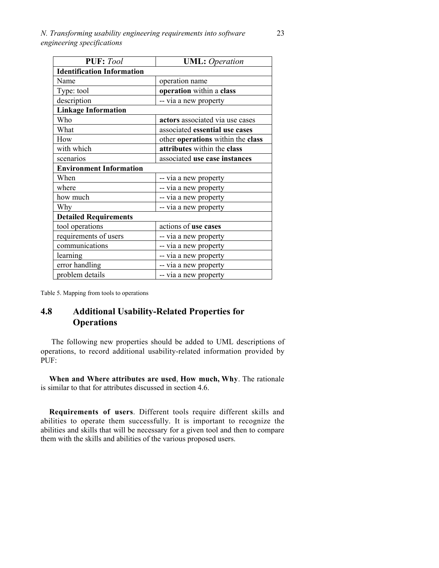| PUF: Tool                         | <b>UML</b> : Operation            |  |  |
|-----------------------------------|-----------------------------------|--|--|
| <b>Identification Information</b> |                                   |  |  |
| Name                              | operation name                    |  |  |
| Type: tool                        | operation within a class          |  |  |
| description                       | -- via a new property             |  |  |
| <b>Linkage Information</b>        |                                   |  |  |
| Who                               | actors associated via use cases   |  |  |
| What                              | associated essential use cases    |  |  |
| How                               | other operations within the class |  |  |
| with which                        | attributes within the class       |  |  |
| scenarios                         | associated use case instances     |  |  |
| <b>Environment Information</b>    |                                   |  |  |
| When                              | -- via a new property             |  |  |
| where                             | -- via a new property             |  |  |
| how much                          | -- via a new property             |  |  |
| Why                               | -- via a new property             |  |  |
| <b>Detailed Requirements</b>      |                                   |  |  |
| tool operations                   | actions of use cases              |  |  |
| requirements of users             | -- via a new property             |  |  |
| communications                    | -- via a new property             |  |  |
| learning                          | -- via a new property             |  |  |
| error handling                    | -- via a new property             |  |  |
| problem details                   | -- via a new property             |  |  |

Table 5. Mapping from tools to operations

## 4.8 Additional Usability-Related Properties for **Operations**

The following new properties should be added to UML descriptions of operations, to record additional usability-related information provided by PUF:

When and Where attributes are used, How much, Why. The rationale is similar to that for attributes discussed in section 4.6.

Requirements of users. Different tools require different skills and abilities to operate them successfully. It is important to recognize the abilities and skills that will be necessary for a given tool and then to compare them with the skills and abilities of the various proposed users.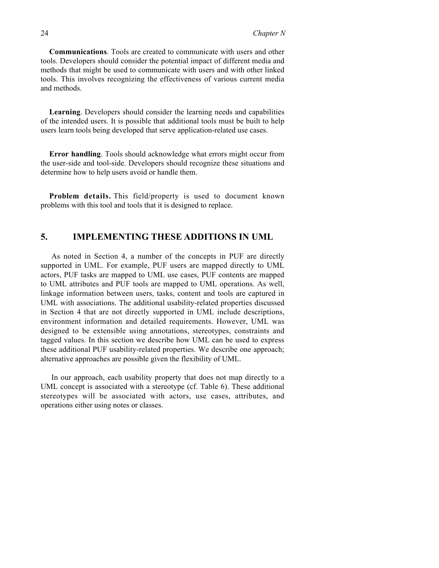Communications. Tools are created to communicate with users and other tools. Developers should consider the potential impact of different media and methods that might be used to communicate with users and with other linked tools. This involves recognizing the effectiveness of various current media and methods.

Learning. Developers should consider the learning needs and capabilities of the intended users. It is possible that additional tools must be built to help users learn tools being developed that serve application-related use cases.

Error handling. Tools should acknowledge what errors might occur from the user-side and tool-side. Developers should recognize these situations and determine how to help users avoid or handle them.

Problem details. This field/property is used to document known problems with this tool and tools that it is designed to replace.

### 5. IMPLEMENTING THESE ADDITIONS IN UML

As noted in Section 4, a number of the concepts in PUF are directly supported in UML. For example, PUF users are mapped directly to UML actors, PUF tasks are mapped to UML use cases, PUF contents are mapped to UML attributes and PUF tools are mapped to UML operations. As well, linkage information between users, tasks, content and tools are captured in UML with associations. The additional usability-related properties discussed in Section 4 that are not directly supported in UML include descriptions, environment information and detailed requirements. However, UML was designed to be extensible using annotations, stereotypes, constraints and tagged values. In this section we describe how UML can be used to express these additional PUF usability-related properties. We describe one approach; alternative approaches are possible given the flexibility of UML.

In our approach, each usability property that does not map directly to a UML concept is associated with a stereotype (cf. Table 6). These additional stereotypes will be associated with actors, use cases, attributes, and operations either using notes or classes.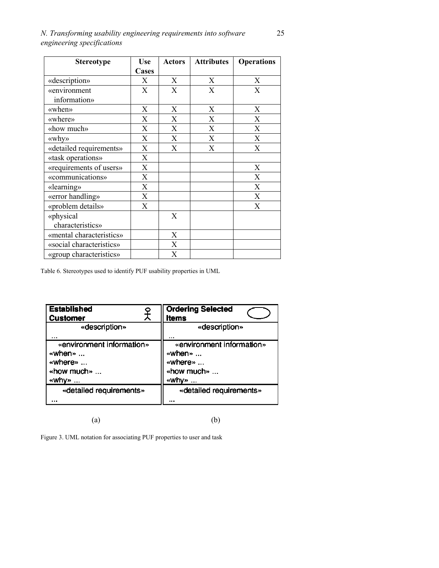*N. Transforming usability engineering requirements into software engineering specifications*

| <b>Stereotype</b>        | <b>Use</b>                | <b>Actors</b> | <b>Attributes</b>         | <b>Operations</b> |
|--------------------------|---------------------------|---------------|---------------------------|-------------------|
|                          | <b>Cases</b>              |               |                           |                   |
| «description»            | X                         | X             | X                         | X                 |
| «environment             | X                         | X             | X                         | X                 |
| information»             |                           |               |                           |                   |
| «when»                   | X                         | X             | X                         | X                 |
| «where»                  | X                         | $\mathbf X$   | $\boldsymbol{\mathrm{X}}$ | X                 |
| «how much»               | X                         | X             | X                         | X                 |
| «why»                    | $\boldsymbol{\mathrm{X}}$ | X             | $\boldsymbol{\mathrm{X}}$ | $\mathbf X$       |
| «detailed requirements»  | X                         | $\mathbf X$   | $\mathbf X$               | $\mathbf X$       |
| «task operations»        | $\boldsymbol{\mathrm{X}}$ |               |                           |                   |
| «requirements of users»  | X                         |               |                           | X                 |
| «communications»         | X                         |               |                           | X                 |
| «learning»               | X                         |               |                           | X                 |
| «error handling»         | $\boldsymbol{\mathrm{X}}$ |               |                           | X                 |
| «problem details»        | $\boldsymbol{\mathrm{X}}$ |               |                           | X                 |
| «physical                |                           | X             |                           |                   |
| characteristics»         |                           |               |                           |                   |
| «mental characteristics» |                           | X             |                           |                   |
| «social characteristics» |                           | X             |                           |                   |
| «group characteristics»  |                           | $\mathbf X$   |                           |                   |

Table 6. Stereotypes used to identify PUF usability properties in UML

| <b>Established</b>        | <b>Ordering Selected</b>  |  |  |
|---------------------------|---------------------------|--|--|
| 오<br>大<br><b>Customer</b> | <b>Items</b>              |  |  |
| «description»             | «description»             |  |  |
|                           |                           |  |  |
| «environment information» | «environment information» |  |  |
| «when»                    | «when»                    |  |  |
| «where»                   | «where»                   |  |  |
| «how much»                | «how much»                |  |  |
| «why»                     | «why»                     |  |  |
| «detailed requirements»   | «detailed requirements»   |  |  |
|                           |                           |  |  |

 $(a)$  (b)

Figure 3. UML notation for associating PUF properties to user and task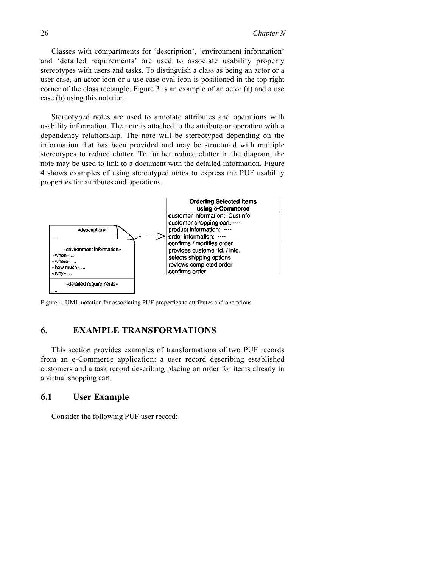Classes with compartments for 'description', 'environment information' and 'detailed requirements' are used to associate usability property stereotypes with users and tasks. To distinguish a class as being an actor or a user case, an actor icon or a use case oval icon is positioned in the top right corner of the class rectangle. Figure 3 is an example of an actor (a) and a use case (b) using this notation.

Stereotyped notes are used to annotate attributes and operations with usability information. The note is attached to the attribute or operation with a dependency relationship. The note will be stereotyped depending on the information that has been provided and may be structured with multiple stereotypes to reduce clutter. To further reduce clutter in the diagram, the note may be used to link to a document with the detailed information. Figure 4 shows examples of using stereotyped notes to express the PUF usability properties for attributes and operations.



Figure 4. UML notation for associating PUF properties to attributes and operations

### 6. EXAMPLE TRANSFORMATIONS

This section provides examples of transformations of two PUF records from an e-Commerce application: a user record describing established customers and a task record describing placing an order for items already in a virtual shopping cart.

### 6.1 User Example

Consider the following PUF user record: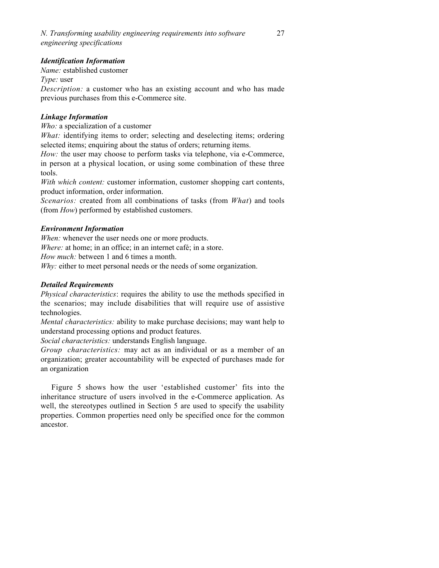#### *Identification Information*

*Name:* established customer

*Type:* user

*Description:* a customer who has an existing account and who has made previous purchases from this e-Commerce site.

#### *Linkage Information*

*Who:* a specialization of a customer

*What:* identifying items to order; selecting and deselecting items; ordering selected items; enquiring about the status of orders; returning items.

*How:* the user may choose to perform tasks via telephone, via e-Commerce, in person at a physical location, or using some combination of these three tools.

*With which content:* customer information, customer shopping cart contents, product information, order information.

*Scenarios:* created from all combinations of tasks (from *What*) and tools (from *How*) performed by established customers.

#### *Environment Information*

*When:* whenever the user needs one or more products.

*Where:* at home; in an office; in an internet café; in a store.

*How much:* between 1 and 6 times a month.

*Why:* either to meet personal needs or the needs of some organization.

#### *Detailed Requirements*

*Physical characteristics*: requires the ability to use the methods specified in the scenarios; may include disabilities that will require use of assistive technologies.

*Mental characteristics:* ability to make purchase decisions; may want help to understand processing options and product features.

*Social characteristics:* understands English language.

*Group characteristics:* may act as an individual or as a member of an organization; greater accountability will be expected of purchases made for an organization

Figure 5 shows how the user 'established customer' fits into the inheritance structure of users involved in the e-Commerce application. As well, the stereotypes outlined in Section 5 are used to specify the usability properties. Common properties need only be specified once for the common ancestor.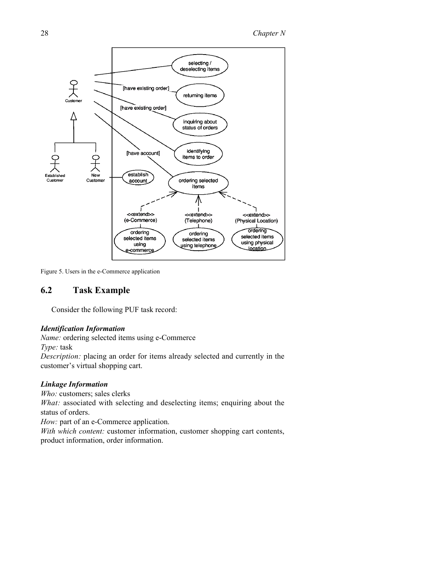28 *Chapter N*



Figure 5. Users in the e-Commerce application

### 6.2 Task Example

Consider the following PUF task record:

#### *Identification Information*

*Name:* ordering selected items using e-Commerce

*Type:* task

*Description:* placing an order for items already selected and currently in the customer's virtual shopping cart.

### *Linkage Information*

*Who:* customers; sales clerks

*What:* associated with selecting and deselecting items; enquiring about the status of orders.

*How:* part of an e-Commerce application.

*With which content:* customer information, customer shopping cart contents, product information, order information.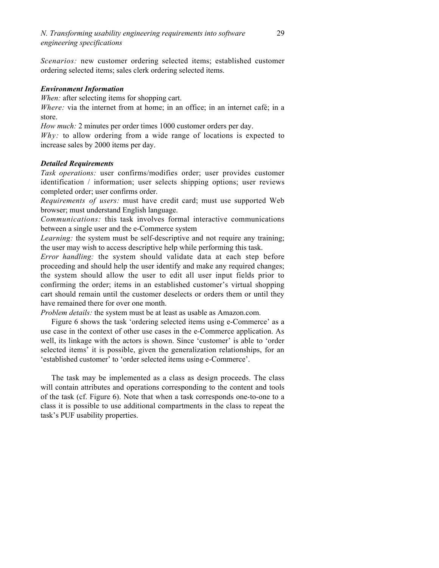*Scenarios:* new customer ordering selected items; established customer ordering selected items; sales clerk ordering selected items.

#### *Environment Information*

*When:* after selecting items for shopping cart.

*Where:* via the internet from at home; in an office; in an internet café; in a store.

*How much:* 2 minutes per order times 1000 customer orders per day.

*Why:* to allow ordering from a wide range of locations is expected to increase sales by 2000 items per day.

#### *Detailed Requirements*

*Task operations:* user confirms/modifies order; user provides customer identification / information; user selects shipping options; user reviews completed order; user confirms order.

*Requirements of users:* must have credit card; must use supported Web browser; must understand English language.

*Communications:* this task involves formal interactive communications between a single user and the e-Commerce system

*Learning:* the system must be self-descriptive and not require any training; the user may wish to access descriptive help while performing this task.

*Error handling:* the system should validate data at each step before proceeding and should help the user identify and make any required changes; the system should allow the user to edit all user input fields prior to confirming the order; items in an established customer's virtual shopping cart should remain until the customer deselects or orders them or until they have remained there for over one month.

*Problem details:* the system must be at least as usable as Amazon.com.

Figure 6 shows the task 'ordering selected items using e-Commerce' as a use case in the context of other use cases in the e-Commerce application. As well, its linkage with the actors is shown. Since 'customer' is able to 'order selected items' it is possible, given the generalization relationships, for an 'established customer' to 'order selected items using e-Commerce'.

The task may be implemented as a class as design proceeds. The class will contain attributes and operations corresponding to the content and tools of the task (cf. Figure 6). Note that when a task corresponds one-to-one to a class it is possible to use additional compartments in the class to repeat the task's PUF usability properties.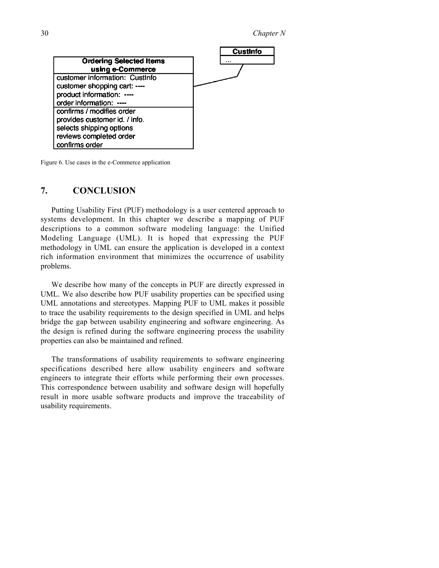30 *Chapter N*



Figure 6. Use cases in the e-Commerce application

### 7. CONCLUSION

Putting Usability First (PUF) methodology is a user centered approach to systems development. In this chapter we describe a mapping of PUF descriptions to a common software modeling language: the Unified Modeling Language (UML). It is hoped that expressing the PUF methodology in UML can ensure the application is developed in a context rich information environment that minimizes the occurrence of usability problems.

We describe how many of the concepts in PUF are directly expressed in UML. We also describe how PUF usability properties can be specified using UML annotations and stereotypes. Mapping PUF to UML makes it possible to trace the usability requirements to the design specified in UML and helps bridge the gap between usability engineering and software engineering. As the design is refined during the software engineering process the usability properties can also be maintained and refined.

The transformations of usability requirements to software engineering specifications described here allow usability engineers and software engineers to integrate their efforts while performing their own processes. This correspondence between usability and software design will hopefully result in more usable software products and improve the traceability of usability requirements.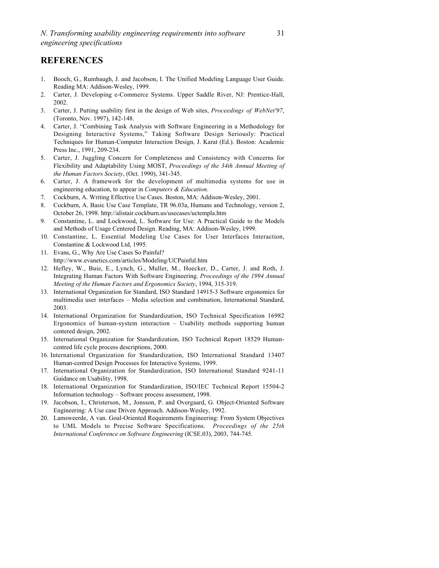### **REFERENCES**

- 1. Booch, G., Rumbaugh, J. and Jacobson, I. The Unified Modeling Language User Guide. Reading MA: Addison-Wesley, 1999.
- 2. Carter, J. Developing e-Commerce Systems. Upper Saddle River, NJ: Prentice-Hall, 2002.
- 3. Carter, J. Putting usability first in the design of Web sites, *Proceedings of WebNet'97*, (Toronto, Nov. 1997), 142-148.
- 4. Carter, J. "Combining Task Analysis with Software Engineering in a Methodology for Designing Interactive Systems," Taking Software Design Seriously: Practical Techniques for Human-Computer Interaction Design*,* J. Karat (Ed.). Boston: Academic Press Inc., 1991, 209-234.
- 5. Carter, J. Juggling Concern for Completeness and Consistency with Concerns for Flexibility and Adaptability Using MOST, *Proceedings of the 34th Annual Meeting of the Human Factors Society*, (Oct. 1990), 341-345.
- 6. Carter, J. A framework for the development of multimedia systems for use in engineering education, to appear in *Computers & Education*.
- 7. Cockburn, A. Writing Effective Use Cases. Boston, MA: Addison-Wesley, 2001.
- 8. Cockburn, A. Basic Use Case Template, TR 96.03a, Humans and Technology, version 2, October 26, 1998. http://alistair.cockburn.us/usecases/uctempla.htm
- 9. Constantine, L. and Lockwood, L. Software for Use: A Practical Guide to the Models and Methods of Usage Centered Design. Reading, MA: Addison-Wesley, 1999.
- 10. Constantine, L. Essential Modeling Use Cases for User Interfaces Interaction, Constantine & Lockwood Ltd, 1995.
- 11. Evans, G., Why Are Use Cases So Painful? http://www.evanetics.com/articles/Modeling/UCPainful.htm
- 12. Hefley, W., Buie, E., Lynch, G., Muller, M., Hoecker, D., Carter, J. and Roth, J. Integrating Human Factors With Software Engineering. *Proceedings of the 1994 Annual Meeting of the Human Factors and Ergonomics Society*, 1994, 315-319.
- 13. International Organization for Standard, ISO Standard 14915-3 Software ergonomics for multimedia user interfaces – Media selection and combination, International Standard, 2003.
- 14. International Organization for Standardization, ISO Technical Specification 16982 Ergonomics of human-system interaction – Usability methods supporting human centered design, 2002.
- 15. International Organization for Standardization, ISO Technical Report 18529 Humancentred life cycle process descriptions, 2000.
- 16. International Organization for Standardization, ISO International Standard 13407 Human-centred Design Processes for Interactive Systems, 1999.
- 17. International Organization for Standardization, ISO International Standard 9241-11 Guidance on Usability, 1998.
- 18. International Organization for Standardization, ISO/IEC Technical Report 15504-2 Information technology – Software process assessment, 1998.
- 19. Jacobson, I., Christerson, M., Jonsson, P. and Overgaard, G. Object-Oriented Software Engineering: A Use case Driven Approach. Addison-Wesley, 1992.
- 20. Lamsweerde, A van. Goal-Oriented Requirements Engineering: From System Objectives to UML Models to Precise Software Specifications. *Proceedings of the 25th International Conference on Software Engineering* (ICSE.03), 2003, 744-745.